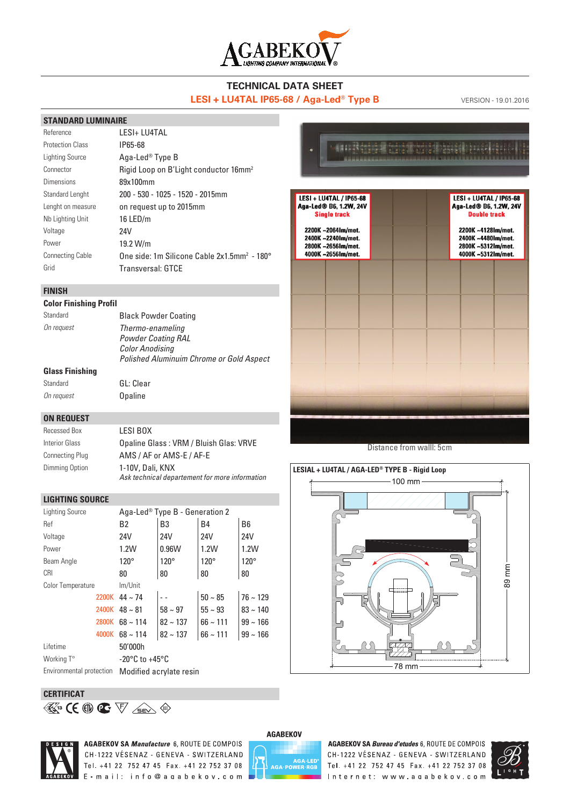

#### **TECHNICAL DATA SHEET LESI + LU4TAL IP65-68 / Aga-Led<sup>®</sup> Type B** VERSION - 19.01.2016

**CALL RESERVE** 

LESI + LU4TAL / IP65-68 Aga-Led® B6, 1.2W, 24V

**Single track** 

2200K~2064Im/met.

2400K ~2240Im/met.

2800K ~26561m/met.

4000K ~26561m/met.

LESI + LU4TAL / IP65-68

Aga-Led® B6, 1.2W, 24V

**Double track** 

2200K~4128Im/met.

2400K ~4480Im/met.

2800K~5312Im/met.

4000K ~5312Im/met.

#### **STANDARD LUMINAIRE**

| Reference               | I FSI+ I U4TAI                                          |
|-------------------------|---------------------------------------------------------|
| <b>Protection Class</b> | IP65-68                                                 |
| Lighting Source         | Aga-Led <sup>®</sup> Type B                             |
| Connector               | Rigid Loop on B'Light conductor 16mm <sup>2</sup>       |
| Dimensions              | 89x100mm                                                |
| Standard Lenght         | 200 - 530 - 1025 - 1520 - 2015mm                        |
| Lenght on measure       | on request up to 2015mm                                 |
| Nb Lighting Unit        | 16 LED/m                                                |
| Voltage                 | 24V                                                     |
| Power                   | 19.2 W/m                                                |
| <b>Connecting Cable</b> | One side: 1m Silicone Cable 2x1.5mm <sup>2</sup> - 180° |
| Grid                    | <b>Transversal: GTCE</b>                                |
|                         |                                                         |

#### **FINISH**

#### **Color Finishing Profil**

Standard GL: Clear

| Standard               | <b>Black Powder Coating</b>                     |
|------------------------|-------------------------------------------------|
| On request             | Thermo-enameling<br><b>Powder Coating RAL</b>   |
|                        | <b>Color Anodisina</b>                          |
|                        | <b>Polished Aluminuim Chrome or Gold Aspect</b> |
| <b>Glass Finishing</b> |                                                 |

## On request **Opaline**

| <b>ON REQUEST</b>      |                                                                    |
|------------------------|--------------------------------------------------------------------|
| Recessed Box           | LESI BOX                                                           |
| Interior Glass         | Opaline Glass: VRM / Bluish Glas: VRVE                             |
| <b>Connecting Plug</b> | AMS / AF or AMS-E / AF-E                                           |
| Dimming Option         | 1-10V, Dali, KNX<br>Ask technical departement for more information |

#### **LIGHTING SOURCE**

| Lighting Source          | Aga-Led <sup>®</sup> Type B - Generation 2 |               |               |                |  |  |
|--------------------------|--------------------------------------------|---------------|---------------|----------------|--|--|
| Ref                      | B <sub>2</sub>                             | B3            | <b>B4</b>     | B <sub>6</sub> |  |  |
| Voltage                  | 24V                                        | 24V           | 24V           | 24V            |  |  |
| Power                    | 1.2W                                       | 0.96W         | 1.2W          | 1.2W           |  |  |
| Beam Angle               | $120^\circ$                                | $120^\circ$   | $120^\circ$   | $120^\circ$    |  |  |
| <b>CRI</b>               | 80                                         | 80            | 80            | 80             |  |  |
| <b>Color Temperature</b> | Im/Unit                                    |               |               |                |  |  |
| 2200K                    | $44 \sim 74$                               |               | $50 - 85$     | $76 \sim 129$  |  |  |
|                          | 2400K $48 \sim 81$                         | $58 \sim 97$  | $55 \sim 93$  | $83 \sim 140$  |  |  |
| 2800K                    | $68 \sim 114$                              | $82 \sim 137$ | $66 \sim 111$ | $99 - 166$     |  |  |
| 4000K                    | $68 \sim 114$                              | $82 \sim 137$ | $66 \sim 111$ | $99 - 166$     |  |  |
| Lifetime                 | 50'000h                                    |               |               |                |  |  |
| Working T°               | $-20^{\circ}$ C to $+45^{\circ}$ C         |               |               |                |  |  |
| Environmental protection | Modified acrylate resin                    |               |               |                |  |  |

#### **CERTIFICAT**

**13** 



**AGABEKOV SA Manufacture 6, ROUTE DE COMPOIS** CH-1222 VÉSENAZ - GENEVA - SWITZERLAND Tel. +41 22 752 47 45 Fax. +41 22 752 37 08 E-mail: info@agabekov.com



AGABEKOV SA Bureau d'etudes 6, ROUTE DE COMPOIS CH-1222 VÉSENAZ - GENEVA - SWITZERLAND Tel. +41 22 752 47 45 Fax. +41 22 752 37 08 Internet: www.agabekov.com



Distance from walll: 5cm